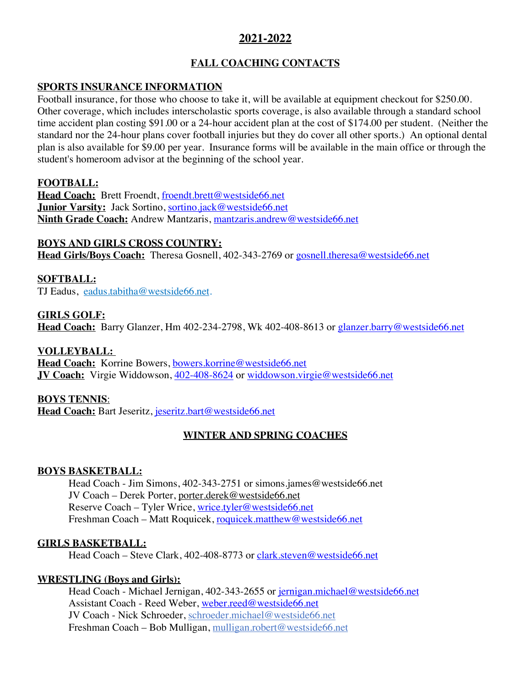# **2021-2022**

# **FALL COACHING CONTACTS**

## **SPORTS INSURANCE INFORMATION**

Football insurance, for those who choose to take it, will be available at equipment checkout for \$250.00. Other coverage, which includes interscholastic sports coverage, is also available through a standard school time accident plan costing \$91.00 or a 24-hour accident plan at the cost of \$174.00 per student. (Neither the standard nor the 24-hour plans cover football injuries but they do cover all other sports.) An optional dental plan is also available for \$9.00 per year. Insurance forms will be available in the main office or through the student's homeroom advisor at the beginning of the school year.

## **FOOTBALL:**

Head Coach: Brett Froendt, froendt.brett@westside66.net **Junior Varsity:** Jack Sortino, sortino.jack@westside66.net **Ninth Grade Coach:** Andrew Mantzaris, mantzaris.andrew@westside66.net

## **BOYS AND GIRLS CROSS COUNTRY:**

**Head Girls/Boys Coach:** Theresa Gosnell, 402-343-2769 or gosnell.theresa@westside66.net

## **SOFTBALL:**

TJ Eadus, eadus.tabitha@westside66.net.

## **GIRLS GOLF:**

Head Coach: Barry Glanzer, Hm 402-234-2798, Wk 402-408-8613 or glanzer.barry@westside66.net

## **VOLLEYBALL:**

Head Coach: Korrine Bowers, bowers.korrine@westside66.net **JV Coach:** Virgie Widdowson, 402-408-8624 or widdowson.virgie@westside66.net

## **BOYS TENNIS**:

Head Coach: Bart Jeseritz, jeseritz.bart@westside66.net

# **WINTER AND SPRING COACHES**

## **BOYS BASKETBALL:**

Head Coach - Jim Simons, 402-343-2751 or simons.james@westside66.net JV Coach – Derek Porter, porter.derek@westside66.net Reserve Coach – Tyler Wrice, wrice.tyler@westside66.net Freshman Coach – Matt Roquicek, roquicek.matthew@westside66.net

## **GIRLS BASKETBALL:**

Head Coach – Steve Clark, 402-408-8773 or clark.steven@westside66.net

## **WRESTLING (Boys and Girls):**

Head Coach - Michael Jernigan, 402-343-2655 or jernigan.michael@westside66.net Assistant Coach - Reed Weber, weber.reed@westside66.net JV Coach - Nick Schroeder, schroeder.michael@westside66.net Freshman Coach – Bob Mulligan, mulligan.robert@westside66.net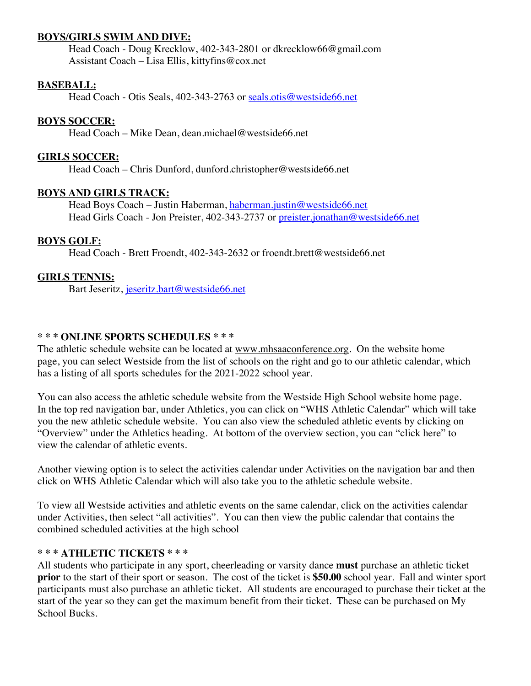#### **BOYS/GIRLS SWIM AND DIVE:**

Head Coach - Doug Krecklow, 402-343-2801 or dkrecklow66@gmail.com Assistant Coach – Lisa Ellis, kittyfins@cox.net

#### **BASEBALL:**

Head Coach - Otis Seals, 402-343-2763 or seals.otis@westside66.net

#### **BOYS SOCCER:**

Head Coach – Mike Dean, dean.michael@westside66.net

#### **GIRLS SOCCER:**

Head Coach – Chris Dunford, dunford.christopher@westside66.net

#### **BOYS AND GIRLS TRACK:**

Head Boys Coach – Justin Haberman, haberman.justin@westside66.net Head Girls Coach - Jon Preister, 402-343-2737 or preister.jonathan@westside66.net

## **BOYS GOLF:**

Head Coach - Brett Froendt, 402-343-2632 or froendt.brett@westside66.net

#### **GIRLS TENNIS:**

Bart Jeseritz, jeseritz.bart@westside66.net

## **\* \* \* ONLINE SPORTS SCHEDULES \* \* \***

The athletic schedule website can be located at www.mhsaaconference.org. On the website home page, you can select Westside from the list of schools on the right and go to our athletic calendar, which has a listing of all sports schedules for the 2021-2022 school year.

You can also access the athletic schedule website from the Westside High School website home page. In the top red navigation bar, under Athletics, you can click on "WHS Athletic Calendar" which will take you the new athletic schedule website. You can also view the scheduled athletic events by clicking on "Overview" under the Athletics heading. At bottom of the overview section, you can "click here" to view the calendar of athletic events.

Another viewing option is to select the activities calendar under Activities on the navigation bar and then click on WHS Athletic Calendar which will also take you to the athletic schedule website.

To view all Westside activities and athletic events on the same calendar, click on the activities calendar under Activities, then select "all activities". You can then view the public calendar that contains the combined scheduled activities at the high school

#### **\* \* \* ATHLETIC TICKETS \* \* \***

All students who participate in any sport, cheerleading or varsity dance **must** purchase an athletic ticket **prior** to the start of their sport or season. The cost of the ticket is **\$50.00** school year. Fall and winter sport participants must also purchase an athletic ticket. All students are encouraged to purchase their ticket at the start of the year so they can get the maximum benefit from their ticket. These can be purchased on My School Bucks.